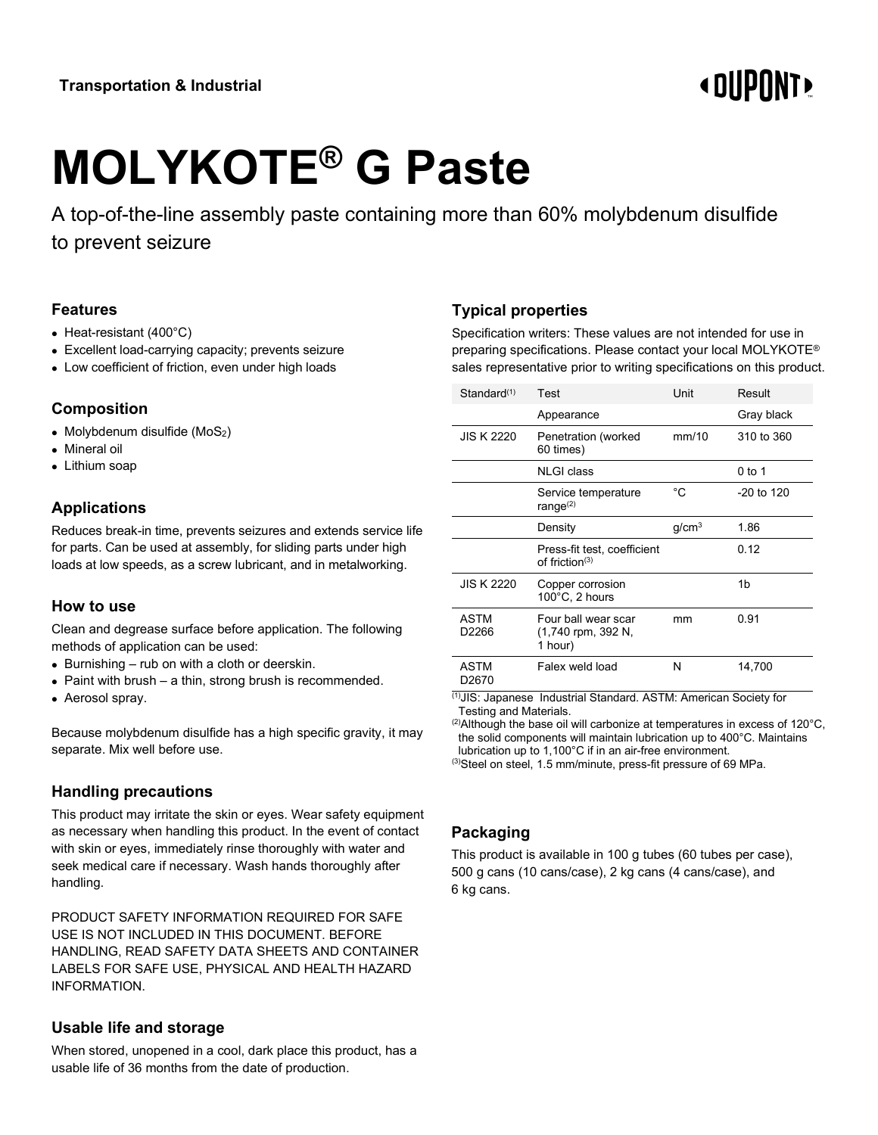# **«OUPONT»**

# **MOLYKOTE® G Paste**

A top-of-the-line assembly paste containing more than 60% molybdenum disulfide to prevent seizure

#### **Features**

- Heat-resistant (400°C)
- Excellent load-carrying capacity; prevents seizure
- Low coefficient of friction, even under high loads

# **Composition**

- Molybdenum disulfide (MoS<sub>2</sub>)
- Mineral oil
- Lithium soap

# **Applications**

Reduces break-in time, prevents seizures and extends service life for parts. Can be used at assembly, for sliding parts under high loads at low speeds, as a screw lubricant, and in metalworking.

#### **How to use**

Clean and degrease surface before application. The following methods of application can be used:

- Burnishing rub on with a cloth or deerskin.
- Paint with brush a thin, strong brush is recommended.
- Aerosol spray.

Because molybdenum disulfide has a high specific gravity, it may separate. Mix well before use.

# **Handling precautions**

This product may irritate the skin or eyes. Wear safety equipment as necessary when handling this product. In the event of contact with skin or eyes, immediately rinse thoroughly with water and seek medical care if necessary. Wash hands thoroughly after handling.

PRODUCT SAFETY INFORMATION REQUIRED FOR SAFE USE IS NOT INCLUDED IN THIS DOCUMENT. BEFORE HANDLING, READ SAFETY DATA SHEETS AND CONTAINER LABELS FOR SAFE USE, PHYSICAL AND HEALTH HAZARD INFORMATION.

# **Usable life and storage**

When stored, unopened in a cool, dark place this product, has a usable life of 36 months from the date of production.

# **Typical properties**

Specification writers: These values are not intended for use in preparing specifications. Please contact your local MOLYKOTE® sales representative prior to writing specifications on this product.

| Standard(1)                      | Test                                                 | Unit              | Result       |
|----------------------------------|------------------------------------------------------|-------------------|--------------|
|                                  | Appearance                                           |                   | Gray black   |
| <b>JIS K 2220</b>                | Penetration (worked<br>60 times)                     | mm/10             | 310 to 360   |
|                                  | <b>NLGI</b> class                                    |                   | $0$ to 1     |
|                                  | Service temperature<br>range $(2)$                   | °C                | $-20$ to 120 |
|                                  | Density                                              | q/cm <sup>3</sup> | 1.86         |
|                                  | Press-fit test, coefficient<br>of friction $(3)$     |                   | 0.12         |
| <b>JIS K 2220</b>                | Copper corrosion<br>$100^{\circ}$ C, 2 hours         |                   | 1b           |
| <b>ASTM</b><br>D2266             | Four ball wear scar<br>(1,740 rpm, 392 N,<br>1 hour) | mm                | 0.91         |
| <b>ASTM</b><br>D <sub>2670</sub> | Falex weld load                                      | N                 | 14,700       |

(1)JIS: Japanese Industrial Standard. ASTM: American Society for Testing and Materials.

 $^{(2)}$ Although the base oil will carbonize at temperatures in excess of 120 $^{\circ}$ C, the solid components will maintain lubrication up to 400°C. Maintains lubrication up to 1,100°C if in an air-free environment.

(3)Steel on steel, 1.5 mm/minute, press-fit pressure of 69 MPa.

# **Packaging**

This product is available in 100 g tubes (60 tubes per case), 500 g cans (10 cans/case), 2 kg cans (4 cans/case), and 6 kg cans.